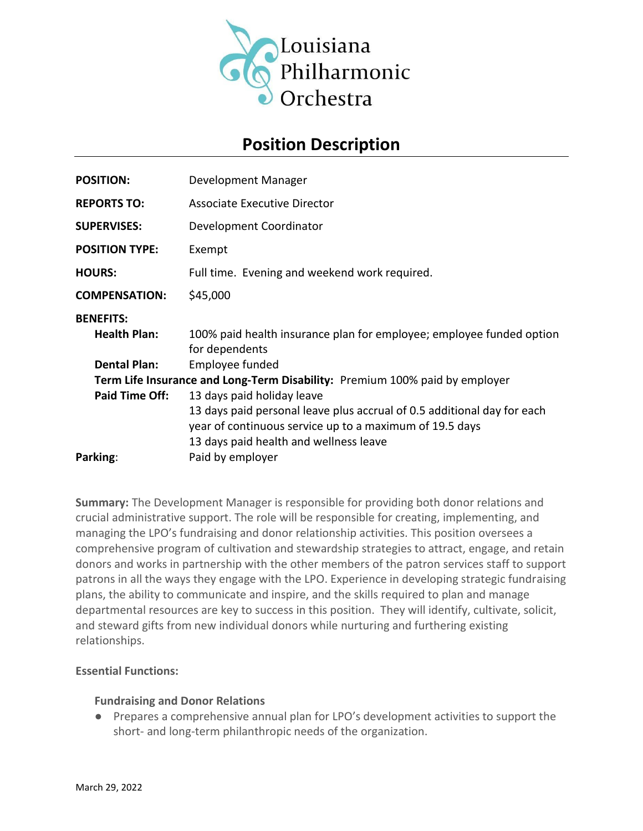

# **Position Description**

| <b>REPORTS TO:</b><br><b>Associate Executive Director</b><br><b>SUPERVISES:</b><br>Development Coordinator<br><b>POSITION TYPE:</b><br>Exempt<br>Full time. Evening and weekend work required.<br><b>HOURS:</b><br>\$45,000<br><b>COMPENSATION:</b><br><b>BENEFITS:</b><br><b>Health Plan:</b><br>for dependents<br><b>Dental Plan:</b><br>Employee funded<br>Term Life Insurance and Long-Term Disability: Premium 100% paid by employer<br>Paid Time Off:<br>13 days paid holiday leave<br>13 days paid personal leave plus accrual of 0.5 additional day for each<br>year of continuous service up to a maximum of 19.5 days<br>13 days paid health and wellness leave | <b>POSITION:</b> | Development Manager                                                  |
|---------------------------------------------------------------------------------------------------------------------------------------------------------------------------------------------------------------------------------------------------------------------------------------------------------------------------------------------------------------------------------------------------------------------------------------------------------------------------------------------------------------------------------------------------------------------------------------------------------------------------------------------------------------------------|------------------|----------------------------------------------------------------------|
|                                                                                                                                                                                                                                                                                                                                                                                                                                                                                                                                                                                                                                                                           |                  |                                                                      |
|                                                                                                                                                                                                                                                                                                                                                                                                                                                                                                                                                                                                                                                                           |                  |                                                                      |
|                                                                                                                                                                                                                                                                                                                                                                                                                                                                                                                                                                                                                                                                           |                  |                                                                      |
|                                                                                                                                                                                                                                                                                                                                                                                                                                                                                                                                                                                                                                                                           |                  |                                                                      |
|                                                                                                                                                                                                                                                                                                                                                                                                                                                                                                                                                                                                                                                                           |                  |                                                                      |
|                                                                                                                                                                                                                                                                                                                                                                                                                                                                                                                                                                                                                                                                           |                  |                                                                      |
|                                                                                                                                                                                                                                                                                                                                                                                                                                                                                                                                                                                                                                                                           |                  | 100% paid health insurance plan for employee; employee funded option |
|                                                                                                                                                                                                                                                                                                                                                                                                                                                                                                                                                                                                                                                                           |                  |                                                                      |
|                                                                                                                                                                                                                                                                                                                                                                                                                                                                                                                                                                                                                                                                           |                  |                                                                      |
|                                                                                                                                                                                                                                                                                                                                                                                                                                                                                                                                                                                                                                                                           |                  |                                                                      |
|                                                                                                                                                                                                                                                                                                                                                                                                                                                                                                                                                                                                                                                                           |                  |                                                                      |
|                                                                                                                                                                                                                                                                                                                                                                                                                                                                                                                                                                                                                                                                           |                  |                                                                      |
|                                                                                                                                                                                                                                                                                                                                                                                                                                                                                                                                                                                                                                                                           |                  |                                                                      |
|                                                                                                                                                                                                                                                                                                                                                                                                                                                                                                                                                                                                                                                                           | Parking:         | Paid by employer                                                     |

**Summary:** The Development Manager is responsible for providing both donor relations and crucial administrative support. The role will be responsible for creating, implementing, and managing the LPO's fundraising and donor relationship activities. This position oversees a comprehensive program of cultivation and stewardship strategies to attract, engage, and retain donors and works in partnership with the other members of the patron services staff to support patrons in all the ways they engage with the LPO. Experience in developing strategic fundraising plans, the ability to communicate and inspire, and the skills required to plan and manage departmental resources are key to success in this position. They will identify, cultivate, solicit, and steward gifts from new individual donors while nurturing and furthering existing relationships.

## **Essential Functions:**

## **Fundraising and Donor Relations**

● Prepares a comprehensive annual plan for LPO's development activities to support the short- and long-term philanthropic needs of the organization.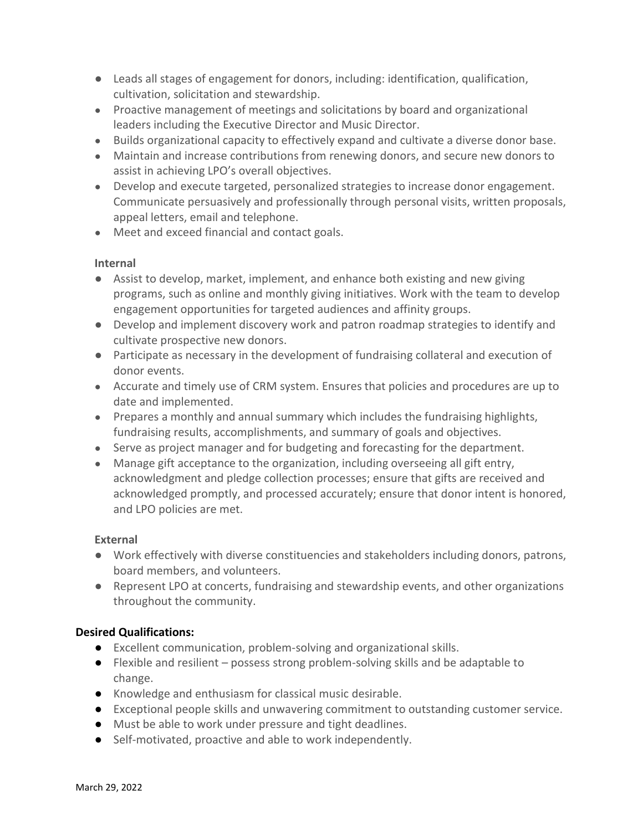- Leads all stages of engagement for donors, including: identification, qualification, cultivation, solicitation and stewardship.
- Proactive management of meetings and solicitations by board and organizational leaders including the Executive Director and Music Director.
- Builds organizational capacity to effectively expand and cultivate a diverse donor base.
- Maintain and increase contributions from renewing donors, and secure new donors to assist in achieving LPO's overall objectives.
- Develop and execute targeted, personalized strategies to increase donor engagement. Communicate persuasively and professionally through personal visits, written proposals, appeal letters, email and telephone.
- Meet and exceed financial and contact goals.

## **Internal**

- Assist to develop, market, implement, and enhance both existing and new giving programs, such as online and monthly giving initiatives. Work with the team to develop engagement opportunities for targeted audiences and affinity groups.
- Develop and implement discovery work and patron roadmap strategies to identify and cultivate prospective new donors.
- Participate as necessary in the development of fundraising collateral and execution of donor events.
- Accurate and timely use of CRM system. Ensures that policies and procedures are up to date and implemented.
- Prepares a monthly and annual summary which includes the fundraising highlights, fundraising results, accomplishments, and summary of goals and objectives.
- Serve as project manager and for budgeting and forecasting for the department.
- Manage gift acceptance to the organization, including overseeing all gift entry, acknowledgment and pledge collection processes; ensure that gifts are received and acknowledged promptly, and processed accurately; ensure that donor intent is honored, and LPO policies are met.

## **External**

- Work effectively with diverse constituencies and stakeholders including donors, patrons, board members, and volunteers.
- Represent LPO at concerts, fundraising and stewardship events, and other organizations throughout the community.

# **Desired Qualifications:**

- Excellent communication, problem-solving and organizational skills.
- Flexible and resilient possess strong problem-solving skills and be adaptable to change.
- Knowledge and enthusiasm for classical music desirable.
- Exceptional people skills and unwavering commitment to outstanding customer service.
- Must be able to work under pressure and tight deadlines.
- Self-motivated, proactive and able to work independently.